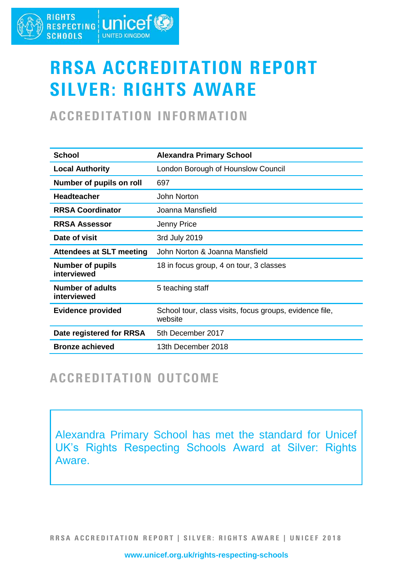#### **RIGHTS** RIGHTS **LINICEF® SCHOOLS UNITED KINGDOM**

# RRSA ACCREDITATION REPORT SILVER: RIGHTS AWARE

# ACCREDITATION INFORMATION

| <b>School</b>                          | <b>Alexandra Primary School</b>                                    |
|----------------------------------------|--------------------------------------------------------------------|
| <b>Local Authority</b>                 | London Borough of Hounslow Council                                 |
| Number of pupils on roll               | 697                                                                |
| <b>Headteacher</b>                     | John Norton                                                        |
| <b>RRSA Coordinator</b>                | Joanna Mansfield                                                   |
| <b>RRSA Assessor</b>                   | Jenny Price                                                        |
| Date of visit                          | 3rd July 2019                                                      |
| <b>Attendees at SLT meeting</b>        | John Norton & Joanna Mansfield                                     |
| <b>Number of pupils</b><br>interviewed | 18 in focus group, 4 on tour, 3 classes                            |
| <b>Number of adults</b><br>interviewed | 5 teaching staff                                                   |
| <b>Evidence provided</b>               | School tour, class visits, focus groups, evidence file,<br>website |
| Date registered for RRSA               | 5th December 2017                                                  |
| <b>Bronze achieved</b>                 | 13th December 2018                                                 |

### ACCREDITATION OUTCOME

Alexandra Primary School has met the standard for Unicef UK's Rights Respecting Schools Award at Silver: Rights Aware.

RRSA ACCREDITATION REPORT | SILVER: RIGHTS AWARE | UNICEF 2018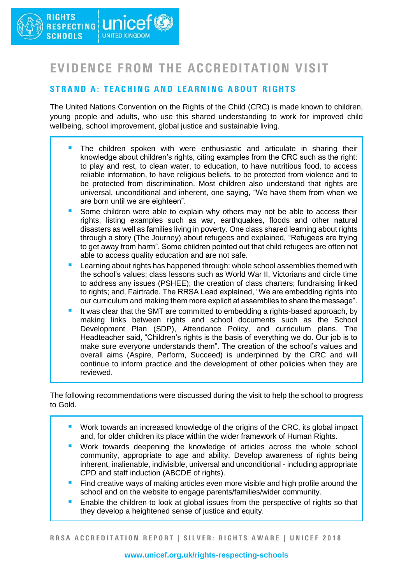# EVIDENCE FROM THE ACCREDITATION VISIT

### STRAND A: TEACHING AND LEARNING ABOUT RIGHTS

The United Nations Convention on the Rights of the Child (CRC) is made known to children, young people and adults, who use this shared understanding to work for improved child wellbeing, school improvement, global justice and sustainable living.

- The children spoken with were enthusiastic and articulate in sharing their knowledge about children's rights, citing examples from the CRC such as the right: to play and rest, to clean water, to education, to have nutritious food, to access reliable information, to have religious beliefs, to be protected from violence and to be protected from discrimination. Most children also understand that rights are universal, unconditional and inherent, one saying, "We have them from when we are born until we are eighteen".
- Some children were able to explain why others may not be able to access their rights, listing examples such as war, earthquakes, floods and other natural disasters as well as families living in poverty. One class shared learning about rights through a story (The Journey) about refugees and explained, "Refugees are trying to get away from harm". Some children pointed out that child refugees are often not able to access quality education and are not safe.
- Learning about rights has happened through: whole school assemblies themed with the school's values; class lessons such as World War II, Victorians and circle time to address any issues (PSHEE); the creation of class charters; fundraising linked to rights; and, Fairtrade. The RRSA Lead explained, "We are embedding rights into our curriculum and making them more explicit at assemblies to share the message".
- It was clear that the SMT are committed to embedding a rights-based approach, by making links between rights and school documents such as the School Development Plan (SDP), Attendance Policy, and curriculum plans. The Headteacher said, "Children's rights is the basis of everything we do. Our job is to make sure everyone understands them". The creation of the school's values and overall aims (Aspire, Perform, Succeed) is underpinned by the CRC and will continue to inform practice and the development of other policies when they are reviewed.

The following recommendations were discussed during the visit to help the school to progress to Gold.

- Work towards an increased knowledge of the origins of the CRC, its global impact and, for older children its place within the wider framework of Human Rights.
- Work towards deepening the knowledge of articles across the whole school community, appropriate to age and ability. Develop awareness of rights being inherent, inalienable, indivisible, universal and unconditional - including appropriate CPD and staff induction (ABCDE of rights).
- Find creative ways of making articles even more visible and high profile around the school and on the website to engage parents/families/wider community.
- Enable the children to look at global issues from the perspective of rights so that they develop a heightened sense of justice and equity.

RRSA ACCREDITATION REPORT | SILVER: RIGHTS AWARE | UNICEF 2018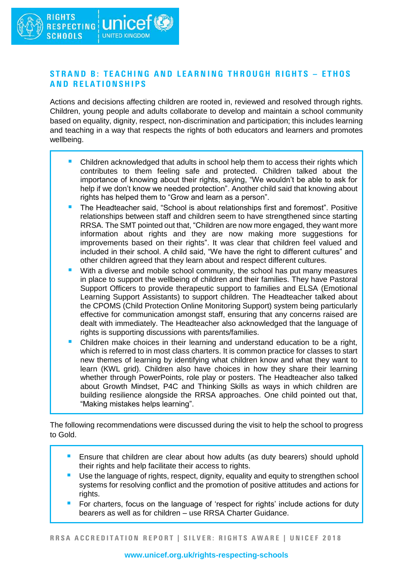### STRAND B: TEACHING AND LEARNING THROUGH RIGHTS - ETHOS **AND RELATIONSHIPS**

Actions and decisions affecting children are rooted in, reviewed and resolved through rights. Children, young people and adults collaborate to develop and maintain a school community based on equality, dignity, respect, non-discrimination and participation; this includes learning and teaching in a way that respects the rights of both educators and learners and promotes wellbeing.

- Children acknowledged that adults in school help them to access their rights which contributes to them feeling safe and protected. Children talked about the importance of knowing about their rights, saying, "We wouldn't be able to ask for help if we don't know we needed protection". Another child said that knowing about rights has helped them to "Grow and learn as a person".
- The Headteacher said, "School is about relationships first and foremost". Positive relationships between staff and children seem to have strengthened since starting RRSA. The SMT pointed out that, "Children are now more engaged, they want more information about rights and they are now making more suggestions for improvements based on their rights". It was clear that children feel valued and included in their school. A child said, "We have the right to different cultures" and other children agreed that they learn about and respect different cultures.
- With a diverse and mobile school community, the school has put many measures in place to support the wellbeing of children and their families. They have Pastoral Support Officers to provide therapeutic support to families and ELSA (Emotional Learning Support Assistants) to support children. The Headteacher talked about the CPOMS (Child Protection Online Monitoring Support) system being particularly effective for communication amongst staff, ensuring that any concerns raised are dealt with immediately. The Headteacher also acknowledged that the language of rights is supporting discussions with parents/families.
- Children make choices in their learning and understand education to be a right, which is referred to in most class charters. It is common practice for classes to start new themes of learning by identifying what children know and what they want to learn (KWL grid). Children also have choices in how they share their learning whether through PowerPoints, role play or posters. The Headteacher also talked about Growth Mindset, P4C and Thinking Skills as ways in which children are building resilience alongside the RRSA approaches. One child pointed out that, "Making mistakes helps learning".

The following recommendations were discussed during the visit to help the school to progress to Gold.

- Ensure that children are clear about how adults (as duty bearers) should uphold their rights and help facilitate their access to rights.
- Use the language of rights, respect, dignity, equality and equity to strengthen school systems for resolving conflict and the promotion of positive attitudes and actions for rights.
- For charters, focus on the language of 'respect for rights' include actions for duty bearers as well as for children – use RRSA Charter Guidance.

RRSA ACCREDITATION REPORT | SILVER: RIGHTS AWARE | UNICEF 2018